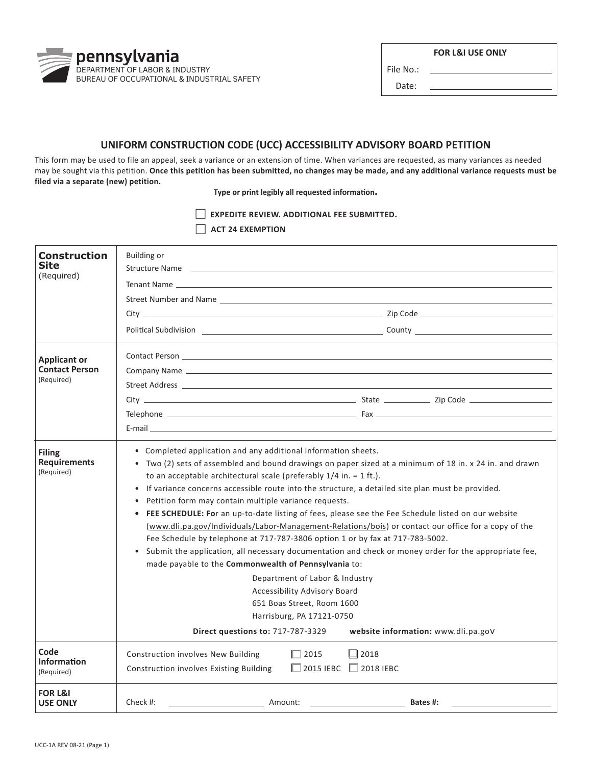DEPARTMENT OF LABOR & INDUSTRY

**ACT 24 EXEMPTION** 

BUREAU OF OCCUPATIONAL & INDUSTRIAL SAFETY

pennsylvania

File No.:

**FOR L&I USE ONLY** 

Date:

## **UNIFORM CONSTRUCTION CODE (UCC) ACCESSIBILITY ADVISORY BOARD PETITION**

This form may be used to file an appeal, seek a variance or an extension of time. When variances are requested, as many variances as needed may be sought via this petition. **Once this petition has been submitted, no changes may be made, and any additional variance requests must be filed via a separate (new) petition.** 

**Type or print legibly all requested information.** 

**EXPEDITE REVIEW. ADDITIONAL FEE SUBMITTED.** 

| <b>Construction</b><br>Site<br>(Required)                  | <b>Building or</b><br>Structure Name and the contract of the contract of the contract of the contract of the contract of the contract of the contract of the contract of the contract of the contract of the contract of the contract of the contrac                                                                                                                                                                                                                                                                                                                                                                                                                                                                                                                                                                                                                                                                                                                                                                                                                                                              | Street Number and Name <b>Street Automobile Street Automobile Street</b> Automobile Street Automobile Street Automobile |
|------------------------------------------------------------|-------------------------------------------------------------------------------------------------------------------------------------------------------------------------------------------------------------------------------------------------------------------------------------------------------------------------------------------------------------------------------------------------------------------------------------------------------------------------------------------------------------------------------------------------------------------------------------------------------------------------------------------------------------------------------------------------------------------------------------------------------------------------------------------------------------------------------------------------------------------------------------------------------------------------------------------------------------------------------------------------------------------------------------------------------------------------------------------------------------------|-------------------------------------------------------------------------------------------------------------------------|
| <b>Applicant or</b><br><b>Contact Person</b><br>(Required) | Street Address and the contract of the contract of the contract of the contract of the contract of the contract of the contract of the contract of the contract of the contract of the contract of the contract of the contrac                                                                                                                                                                                                                                                                                                                                                                                                                                                                                                                                                                                                                                                                                                                                                                                                                                                                                    |                                                                                                                         |
| <b>Filing</b><br><b>Requirements</b><br>(Required)         | • Completed application and any additional information sheets.<br>Two (2) sets of assembled and bound drawings on paper sized at a minimum of 18 in. x 24 in. and drawn<br>to an acceptable architectural scale (preferably $1/4$ in. = 1 ft.).<br>If variance concerns accessible route into the structure, a detailed site plan must be provided.<br>$\bullet$<br>Petition form may contain multiple variance requests.<br>$\bullet$<br>• FEE SCHEDULE: For an up-to-date listing of fees, please see the Fee Schedule listed on our website<br>(www.dli.pa.gov/Individuals/Labor-Management-Relations/bois) or contact our office for a copy of the<br>Fee Schedule by telephone at 717-787-3806 option 1 or by fax at 717-783-5002.<br>Submit the application, all necessary documentation and check or money order for the appropriate fee,<br>made payable to the Commonwealth of Pennsylvania to:<br>Department of Labor & Industry<br>Accessibility Advisory Board<br>651 Boas Street, Room 1600<br>Harrisburg, PA 17121-0750<br>Direct questions to: 717-787-3329<br>website information: www.dli.pa.gov |                                                                                                                         |
| Code<br><b>Information</b><br>(Required)                   | <b>Construction involves New Building</b><br>$\Box$ 2015<br>Construction involves Existing Building                                                                                                                                                                                                                                                                                                                                                                                                                                                                                                                                                                                                                                                                                                                                                                                                                                                                                                                                                                                                               | $\Box$ 2018<br>$\Box$ 2015 IEBC $\Box$ 2018 IEBC                                                                        |
| <b>FOR L&amp;I</b><br><b>USE ONLY</b>                      | Check $#$ :<br>Amount:                                                                                                                                                                                                                                                                                                                                                                                                                                                                                                                                                                                                                                                                                                                                                                                                                                                                                                                                                                                                                                                                                            | Bates #:                                                                                                                |